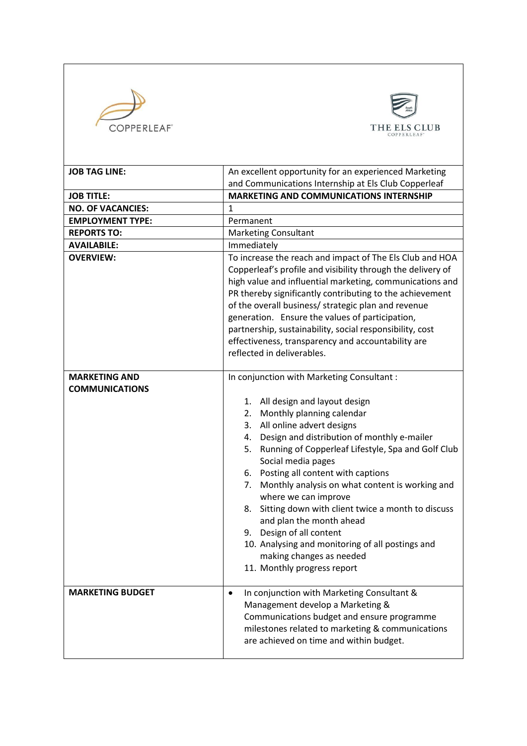



| <b>JOB TAG LINE:</b>                          | An excellent opportunity for an experienced Marketing                                                                                                                                                                                                                                                                                                                                                                                                                                                                                                                                                                                                      |
|-----------------------------------------------|------------------------------------------------------------------------------------------------------------------------------------------------------------------------------------------------------------------------------------------------------------------------------------------------------------------------------------------------------------------------------------------------------------------------------------------------------------------------------------------------------------------------------------------------------------------------------------------------------------------------------------------------------------|
|                                               | and Communications Internship at Els Club Copperleaf                                                                                                                                                                                                                                                                                                                                                                                                                                                                                                                                                                                                       |
| <b>JOB TITLE:</b>                             | <b>MARKETING AND COMMUNICATIONS INTERNSHIP</b>                                                                                                                                                                                                                                                                                                                                                                                                                                                                                                                                                                                                             |
| <b>NO. OF VACANCIES:</b>                      | 1                                                                                                                                                                                                                                                                                                                                                                                                                                                                                                                                                                                                                                                          |
| <b>EMPLOYMENT TYPE:</b>                       | Permanent                                                                                                                                                                                                                                                                                                                                                                                                                                                                                                                                                                                                                                                  |
| <b>REPORTS TO:</b>                            | <b>Marketing Consultant</b>                                                                                                                                                                                                                                                                                                                                                                                                                                                                                                                                                                                                                                |
| <b>AVAILABILE:</b>                            | Immediately                                                                                                                                                                                                                                                                                                                                                                                                                                                                                                                                                                                                                                                |
| <b>OVERVIEW:</b>                              | To increase the reach and impact of The Els Club and HOA<br>Copperleaf's profile and visibility through the delivery of<br>high value and influential marketing, communications and<br>PR thereby significantly contributing to the achievement<br>of the overall business/ strategic plan and revenue<br>generation. Ensure the values of participation,<br>partnership, sustainability, social responsibility, cost<br>effectiveness, transparency and accountability are<br>reflected in deliverables.                                                                                                                                                  |
| <b>MARKETING AND</b><br><b>COMMUNICATIONS</b> | In conjunction with Marketing Consultant:<br>1. All design and layout design<br>Monthly planning calendar<br>2.<br>All online advert designs<br>3.<br>Design and distribution of monthly e-mailer<br>4.<br>Running of Copperleaf Lifestyle, Spa and Golf Club<br>5.<br>Social media pages<br>Posting all content with captions<br>6.<br>Monthly analysis on what content is working and<br>7.<br>where we can improve<br>Sitting down with client twice a month to discuss<br>8.<br>and plan the month ahead<br>Design of all content<br>9.<br>10. Analysing and monitoring of all postings and<br>making changes as needed<br>11. Monthly progress report |
| <b>MARKETING BUDGET</b>                       | In conjunction with Marketing Consultant &<br>$\bullet$<br>Management develop a Marketing &<br>Communications budget and ensure programme<br>milestones related to marketing & communications<br>are achieved on time and within budget.                                                                                                                                                                                                                                                                                                                                                                                                                   |